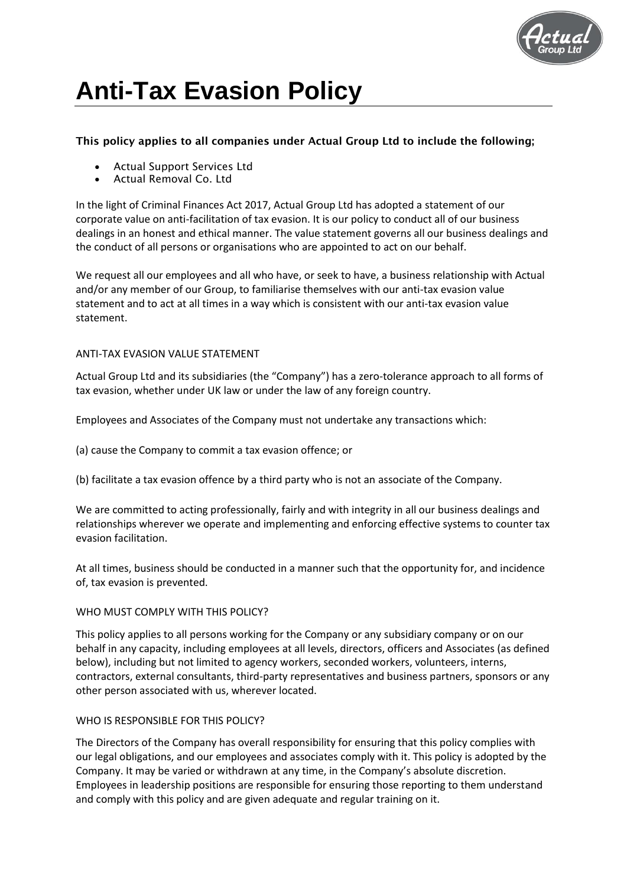

# **Anti-Tax Evasion Policy**

# This policy applies to all companies under Actual Group Ltd to include the following;

- Actual Support Services Ltd
- Actual Removal Co. Ltd

In the light of Criminal Finances Act 2017, Actual Group Ltd has adopted a statement of our corporate value on anti-facilitation of tax evasion. It is our policy to conduct all of our business dealings in an honest and ethical manner. The value statement governs all our business dealings and the conduct of all persons or organisations who are appointed to act on our behalf.

We request all our employees and all who have, or seek to have, a business relationship with Actual and/or any member of our Group, to familiarise themselves with our anti-tax evasion value statement and to act at all times in a way which is consistent with our anti-tax evasion value statement.

## ANTI-TAX EVASION VALUE STATEMENT

Actual Group Ltd and its subsidiaries (the "Company") has a zero-tolerance approach to all forms of tax evasion, whether under UK law or under the law of any foreign country.

Employees and Associates of the Company must not undertake any transactions which:

(a) cause the Company to commit a tax evasion offence; or

(b) facilitate a tax evasion offence by a third party who is not an associate of the Company.

We are committed to acting professionally, fairly and with integrity in all our business dealings and relationships wherever we operate and implementing and enforcing effective systems to counter tax evasion facilitation.

At all times, business should be conducted in a manner such that the opportunity for, and incidence of, tax evasion is prevented.

# WHO MUST COMPLY WITH THIS POLICY?

This policy applies to all persons working for the Company or any subsidiary company or on our behalf in any capacity, including employees at all levels, directors, officers and Associates (as defined below), including but not limited to agency workers, seconded workers, volunteers, interns, contractors, external consultants, third-party representatives and business partners, sponsors or any other person associated with us, wherever located.

# WHO IS RESPONSIBLE FOR THIS POLICY?

The Directors of the Company has overall responsibility for ensuring that this policy complies with our legal obligations, and our employees and associates comply with it. This policy is adopted by the Company. It may be varied or withdrawn at any time, in the Company's absolute discretion. Employees in leadership positions are responsible for ensuring those reporting to them understand and comply with this policy and are given adequate and regular training on it.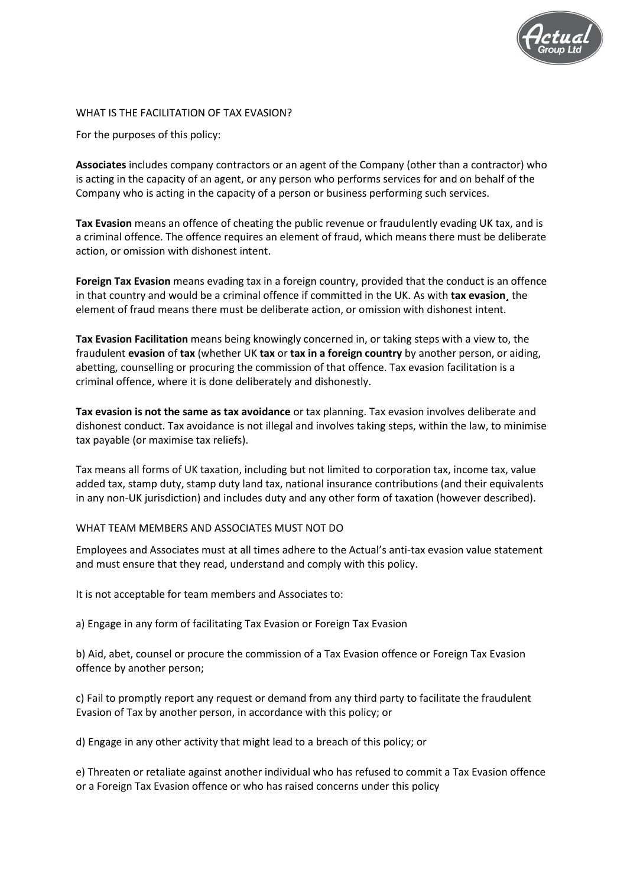

#### WHAT IS THE FACILITATION OF TAX EVASION?

For the purposes of this policy:

**Associates** includes company contractors or an agent of the Company (other than a contractor) who is acting in the capacity of an agent, or any person who performs services for and on behalf of the Company who is acting in the capacity of a person or business performing such services.

**Tax Evasion** means an offence of cheating the public revenue or fraudulently evading UK tax, and is a criminal offence. The offence requires an element of fraud, which means there must be deliberate action, or omission with dishonest intent.

**Foreign Tax Evasion** means evading tax in a foreign country, provided that the conduct is an offence in that country and would be a criminal offence if committed in the UK. As with **tax evasion¸** the element of fraud means there must be deliberate action, or omission with dishonest intent.

**Tax Evasion Facilitation** means being knowingly concerned in, or taking steps with a view to, the fraudulent **evasion** of **tax** (whether UK **tax** or **tax in a foreign country** by another person, or aiding, abetting, counselling or procuring the commission of that offence. Tax evasion facilitation is a criminal offence, where it is done deliberately and dishonestly.

**Tax evasion is not the same as tax avoidance** or tax planning. Tax evasion involves deliberate and dishonest conduct. Tax avoidance is not illegal and involves taking steps, within the law, to minimise tax payable (or maximise tax reliefs).

Tax means all forms of UK taxation, including but not limited to corporation tax, income tax, value added tax, stamp duty, stamp duty land tax, national insurance contributions (and their equivalents in any non-UK jurisdiction) and includes duty and any other form of taxation (however described).

#### WHAT TEAM MEMBERS AND ASSOCIATES MUST NOT DO

Employees and Associates must at all times adhere to the Actual's anti-tax evasion value statement and must ensure that they read, understand and comply with this policy.

It is not acceptable for team members and Associates to:

a) Engage in any form of facilitating Tax Evasion or Foreign Tax Evasion

b) Aid, abet, counsel or procure the commission of a Tax Evasion offence or Foreign Tax Evasion offence by another person;

c) Fail to promptly report any request or demand from any third party to facilitate the fraudulent Evasion of Tax by another person, in accordance with this policy; or

d) Engage in any other activity that might lead to a breach of this policy; or

e) Threaten or retaliate against another individual who has refused to commit a Tax Evasion offence or a Foreign Tax Evasion offence or who has raised concerns under this policy